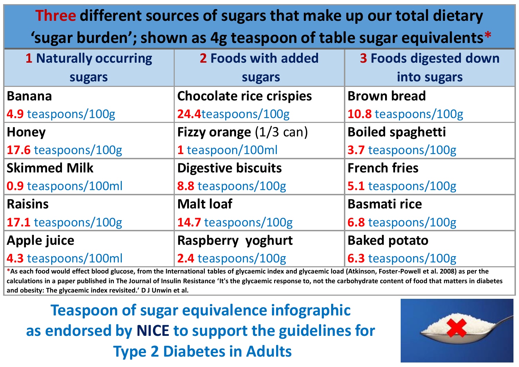**Three different sources of sugars that make up our total dietary**

**'sugar burden'; shown as 4g teaspoon of table sugar equivalents\***

| <b>1 Naturally occurring</b> | 2 Foods with added               | 3 Foods digested down   |
|------------------------------|----------------------------------|-------------------------|
| sugars                       | sugars                           | into sugars             |
| <b>Banana</b>                | <b>Chocolate rice crispies</b>   | <b>Brown bread</b>      |
| 4.9 teaspoons/100g           | 24.4teaspoons/100g               | 10.8 teaspoons/100g     |
| Honey                        | Fizzy orange $(1/3 \text{ can})$ | <b>Boiled spaghetti</b> |
| 17.6 teaspoons/100g          | 1 teaspoon/100ml                 | 3.7 teaspoons/100g      |
| <b>Skimmed Milk</b>          | <b>Digestive biscuits</b>        | <b>French fries</b>     |
| 0.9 teaspoons/100ml          | 8.8 teaspoons/100g               | 5.1 teaspoons/100g      |
| <b>Raisins</b>               | <b>Malt loaf</b>                 | <b>Basmati rice</b>     |
| 17.1 teaspoons/100g          | 14.7 teaspoons/100g              | 6.8 teaspoons/100g      |
| Apple juice                  | Raspberry yoghurt                | <b>Baked potato</b>     |
| 4.3 teaspoons/100ml          | 2.4 teaspoons/100g               | 6.3 teaspoons/100g      |

**\*As each food would effect blood glucose, from the International tables of glycaemic index and glycaemic load (Atkinson, Foster-Powell et al. 2008) as per the calculations in a paper published in The Journal of Insulin Resistance 'It's the glycaemic response to, not the carbohydrate content of food that matters in diabetes and obesity: The glycaemic index revisited.' D J Unwin et al.**

**Teaspoon of sugar equivalence infographic as endorsed by NICE to support the guidelines for Type 2 Diabetes in Adults**